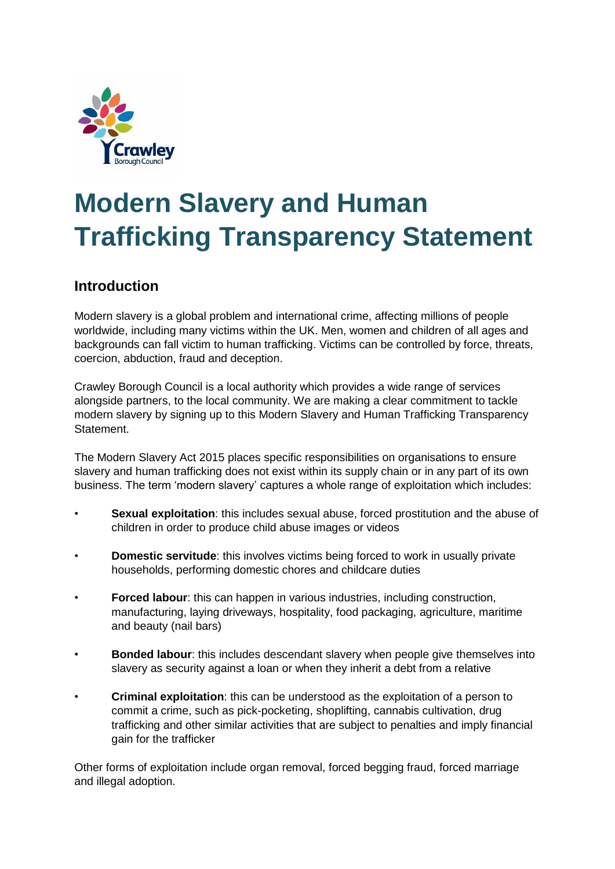

# **Modern Slavery and Human Trafficking Transparency Statement**

### **Introduction**

Modern slavery is a global problem and international crime, affecting millions of people worldwide, including many victims within the UK. Men, women and children of all ages and backgrounds can fall victim to human trafficking. Victims can be controlled by force, threats, coercion, abduction, fraud and deception.

Crawley Borough Council is a local authority which provides a wide range of services alongside partners, to the local community. We are making a clear commitment to tackle modern slavery by signing up to this Modern Slavery and Human Trafficking Transparency Statement.

The Modern Slavery Act 2015 places specific responsibilities on organisations to ensure slavery and human trafficking does not exist within its supply chain or in any part of its own business. The term 'modern slavery' captures a whole range of exploitation which includes:

- **Sexual exploitation:** this includes sexual abuse, forced prostitution and the abuse of children in order to produce child abuse images or videos
- **Domestic servitude**: this involves victims being forced to work in usually private households, performing domestic chores and childcare duties
- **Forced labour:** this can happen in various industries, including construction, manufacturing, laying driveways, hospitality, food packaging, agriculture, maritime and beauty (nail bars)
- **Bonded labour:** this includes descendant slavery when people give themselves into slavery as security against a loan or when they inherit a debt from a relative
- **Criminal exploitation**: this can be understood as the exploitation of a person to commit a crime, such as pick-pocketing, shoplifting, cannabis cultivation, drug trafficking and other similar activities that are subject to penalties and imply financial gain for the trafficker

Other forms of exploitation include organ removal, forced begging fraud, forced marriage and illegal adoption.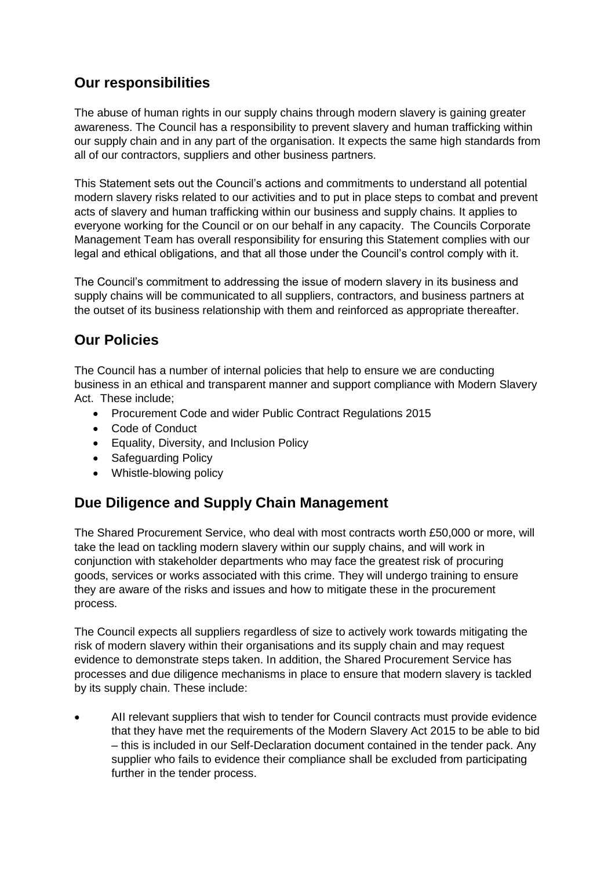#### **Our responsibilities**

The abuse of human rights in our supply chains through modern slavery is gaining greater awareness. The Council has a responsibility to prevent slavery and human trafficking within our supply chain and in any part of the organisation. It expects the same high standards from all of our contractors, suppliers and other business partners.

This Statement sets out the Council's actions and commitments to understand all potential modern slavery risks related to our activities and to put in place steps to combat and prevent acts of slavery and human trafficking within our business and supply chains. It applies to everyone working for the Council or on our behalf in any capacity. The Councils Corporate Management Team has overall responsibility for ensuring this Statement complies with our legal and ethical obligations, and that all those under the Council's control comply with it.

The Council's commitment to addressing the issue of modern slavery in its business and supply chains will be communicated to all suppliers, contractors, and business partners at the outset of its business relationship with them and reinforced as appropriate thereafter.

### **Our Policies**

The Council has a number of internal policies that help to ensure we are conducting business in an ethical and transparent manner and support compliance with Modern Slavery Act. These include;

- Procurement Code and wider Public Contract Regulations 2015
- Code of Conduct
- Equality, Diversity, and Inclusion Policy
- Safeguarding Policy
- Whistle-blowing policy

## **Due Diligence and Supply Chain Management**

The Shared Procurement Service, who deal with most contracts worth £50,000 or more, will take the lead on tackling modern slavery within our supply chains, and will work in conjunction with stakeholder departments who may face the greatest risk of procuring goods, services or works associated with this crime. They will undergo training to ensure they are aware of the risks and issues and how to mitigate these in the procurement process.

The Council expects all suppliers regardless of size to actively work towards mitigating the risk of modern slavery within their organisations and its supply chain and may request evidence to demonstrate steps taken. In addition, the Shared Procurement Service has processes and due diligence mechanisms in place to ensure that modern slavery is tackled by its supply chain. These include:

 AII relevant suppliers that wish to tender for Council contracts must provide evidence that they have met the requirements of the Modern Slavery Act 2015 to be able to bid – this is included in our Self-Declaration document contained in the tender pack. Any supplier who fails to evidence their compliance shall be excluded from participating further in the tender process.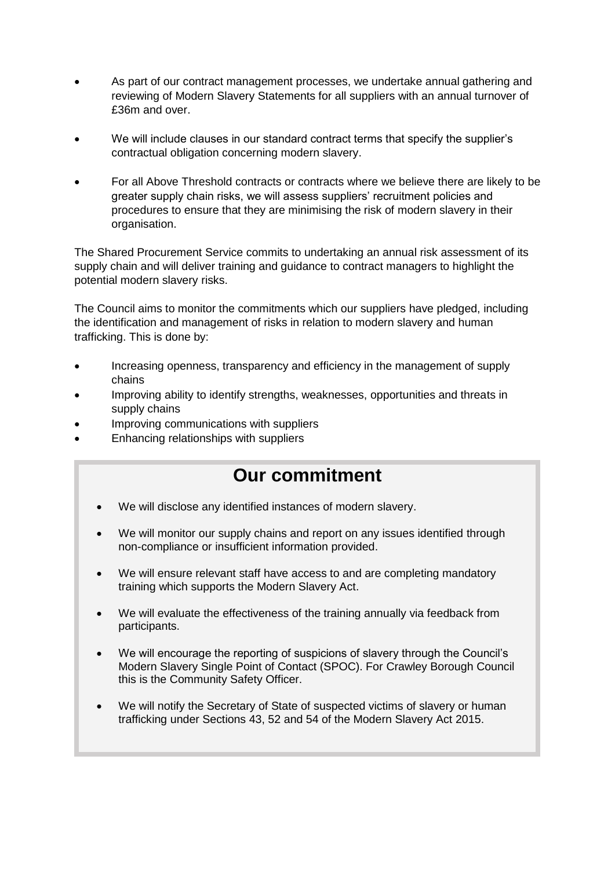- As part of our contract management processes, we undertake annual gathering and reviewing of Modern Slavery Statements for all suppliers with an annual turnover of £36m and over.
- We will include clauses in our standard contract terms that specify the supplier's contractual obligation concerning modern slavery.
- For all Above Threshold contracts or contracts where we believe there are likely to be greater supply chain risks, we will assess suppliers' recruitment policies and procedures to ensure that they are minimising the risk of modern slavery in their organisation.

The Shared Procurement Service commits to undertaking an annual risk assessment of its supply chain and will deliver training and guidance to contract managers to highlight the potential modern slavery risks.

The Council aims to monitor the commitments which our suppliers have pledged, including the identification and management of risks in relation to modern slavery and human trafficking. This is done by:

- Increasing openness, transparency and efficiency in the management of supply chains
- Improving ability to identify strengths, weaknesses, opportunities and threats in supply chains
- Improving communications with suppliers
- Enhancing relationships with suppliers

# **Our commitment**

- We will disclose any identified instances of modern slavery.
- We will monitor our supply chains and report on any issues identified through non-compliance or insufficient information provided.
- We will ensure relevant staff have access to and are completing mandatory training which supports the Modern Slavery Act.
- We will evaluate the effectiveness of the training annually via feedback from participants.
- We will encourage the reporting of suspicions of slavery through the Council's Modern Slavery Single Point of Contact (SPOC). For Crawley Borough Council this is the Community Safety Officer.
- We will notify the Secretary of State of suspected victims of slavery or human trafficking under Sections 43, 52 and 54 of the Modern Slavery Act 2015.